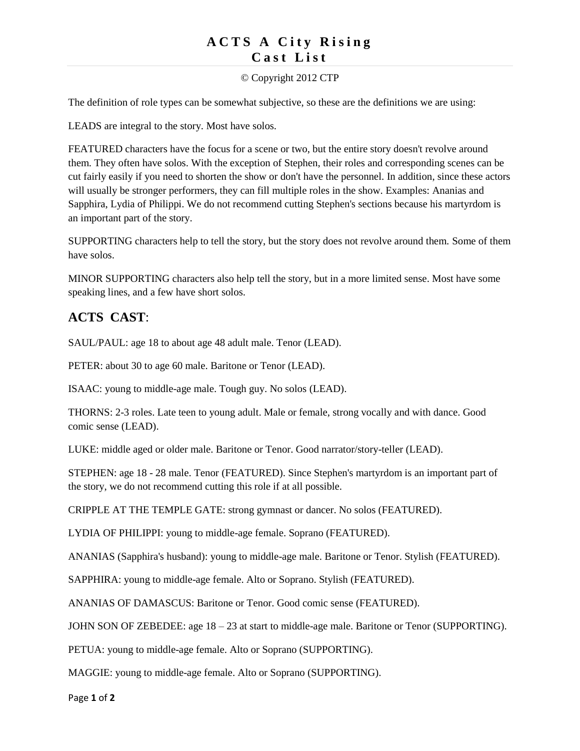## **ACTS A City Rising C a s t L i s t**

### © Copyright 2012 CTP

The definition of role types can be somewhat subjective, so these are the definitions we are using:

LEADS are integral to the story. Most have solos.

FEATURED characters have the focus for a scene or two, but the entire story doesn't revolve around them. They often have solos. With the exception of Stephen, their roles and corresponding scenes can be cut fairly easily if you need to shorten the show or don't have the personnel. In addition, since these actors will usually be stronger performers, they can fill multiple roles in the show. Examples: Ananias and Sapphira, Lydia of Philippi. We do not recommend cutting Stephen's sections because his martyrdom is an important part of the story.

SUPPORTING characters help to tell the story, but the story does not revolve around them. Some of them have solos.

MINOR SUPPORTING characters also help tell the story, but in a more limited sense. Most have some speaking lines, and a few have short solos.

# **ACTS CAST**:

SAUL/PAUL: age 18 to about age 48 adult male. Tenor (LEAD).

PETER: about 30 to age 60 male. Baritone or Tenor (LEAD).

ISAAC: young to middle-age male. Tough guy. No solos (LEAD).

THORNS: 2-3 roles. Late teen to young adult. Male or female, strong vocally and with dance. Good comic sense (LEAD).

LUKE: middle aged or older male. Baritone or Tenor. Good narrator/story-teller (LEAD).

STEPHEN: age 18 - 28 male. Tenor (FEATURED). Since Stephen's martyrdom is an important part of the story, we do not recommend cutting this role if at all possible.

CRIPPLE AT THE TEMPLE GATE: strong gymnast or dancer. No solos (FEATURED).

LYDIA OF PHILIPPI: young to middle-age female. Soprano (FEATURED).

ANANIAS (Sapphira's husband): young to middle-age male. Baritone or Tenor. Stylish (FEATURED).

SAPPHIRA: young to middle-age female. Alto or Soprano. Stylish (FEATURED).

ANANIAS OF DAMASCUS: Baritone or Tenor. Good comic sense (FEATURED).

JOHN SON OF ZEBEDEE: age 18 – 23 at start to middle-age male. Baritone or Tenor (SUPPORTING).

PETUA: young to middle-age female. Alto or Soprano (SUPPORTING).

MAGGIE: young to middle-age female. Alto or Soprano (SUPPORTING).

Page **1** of **2**